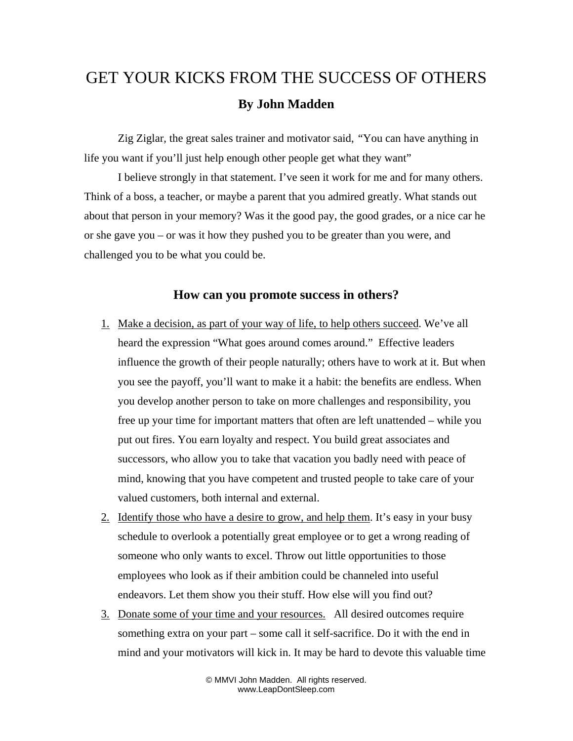## GET YOUR KICKS FROM THE SUCCESS OF OTHERS **By John Madden**

Zig Ziglar, the great sales trainer and motivator said, *"*You can have anything in life you want if you'll just help enough other people get what they want"

I believe strongly in that statement. I've seen it work for me and for many others. Think of a boss, a teacher, or maybe a parent that you admired greatly. What stands out about that person in your memory? Was it the good pay, the good grades, or a nice car he or she gave you – or was it how they pushed you to be greater than you were, and challenged you to be what you could be.

## **How can you promote success in others?**

- 1. Make a decision, as part of your way of life, to help others succeed. We've all heard the expression "What goes around comes around." Effective leaders influence the growth of their people naturally; others have to work at it. But when you see the payoff, you'll want to make it a habit: the benefits are endless. When you develop another person to take on more challenges and responsibility, you free up your time for important matters that often are left unattended – while you put out fires. You earn loyalty and respect. You build great associates and successors, who allow you to take that vacation you badly need with peace of mind, knowing that you have competent and trusted people to take care of your valued customers, both internal and external.
- 2. Identify those who have a desire to grow, and help them. It's easy in your busy schedule to overlook a potentially great employee or to get a wrong reading of someone who only wants to excel. Throw out little opportunities to those employees who look as if their ambition could be channeled into useful endeavors. Let them show you their stuff. How else will you find out?
- 3. Donate some of your time and your resources. All desired outcomes require something extra on your part – some call it self-sacrifice. Do it with the end in mind and your motivators will kick in. It may be hard to devote this valuable time